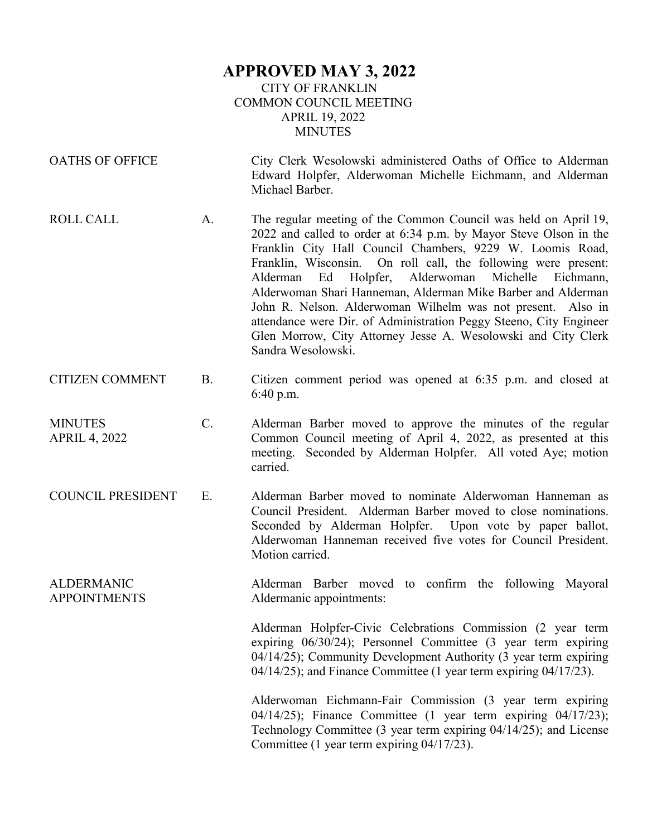## **APPROVED MAY 3, 2022** CITY OF FRANKLIN COMMON COUNCIL MEETING APRIL 19, 2022 MINUTES

| <b>OATHS OF OFFICE</b>                   |           | City Clerk Wesolowski administered Oaths of Office to Alderman<br>Edward Holpfer, Alderwoman Michelle Eichmann, and Alderman<br>Michael Barber.                                                                                                                                                                                                                                                                                                                                                                                                                                                                                      |
|------------------------------------------|-----------|--------------------------------------------------------------------------------------------------------------------------------------------------------------------------------------------------------------------------------------------------------------------------------------------------------------------------------------------------------------------------------------------------------------------------------------------------------------------------------------------------------------------------------------------------------------------------------------------------------------------------------------|
| <b>ROLL CALL</b>                         | A.        | The regular meeting of the Common Council was held on April 19,<br>2022 and called to order at 6:34 p.m. by Mayor Steve Olson in the<br>Franklin City Hall Council Chambers, 9229 W. Loomis Road,<br>Franklin, Wisconsin. On roll call, the following were present:<br>Holpfer,<br>Alderwoman<br>Michelle<br>Alderman<br>Ed<br>Eichmann,<br>Alderwoman Shari Hanneman, Alderman Mike Barber and Alderman<br>John R. Nelson. Alderwoman Wilhelm was not present. Also in<br>attendance were Dir. of Administration Peggy Steeno, City Engineer<br>Glen Morrow, City Attorney Jesse A. Wesolowski and City Clerk<br>Sandra Wesolowski. |
| <b>CITIZEN COMMENT</b>                   | <b>B.</b> | Citizen comment period was opened at 6:35 p.m. and closed at<br>6:40 p.m.                                                                                                                                                                                                                                                                                                                                                                                                                                                                                                                                                            |
| <b>MINUTES</b><br><b>APRIL 4, 2022</b>   | $C$ .     | Alderman Barber moved to approve the minutes of the regular<br>Common Council meeting of April 4, 2022, as presented at this<br>meeting. Seconded by Alderman Holpfer. All voted Aye; motion<br>carried.                                                                                                                                                                                                                                                                                                                                                                                                                             |
| <b>COUNCIL PRESIDENT</b>                 | Ε.        | Alderman Barber moved to nominate Alderwoman Hanneman as<br>Council President. Alderman Barber moved to close nominations.<br>Seconded by Alderman Holpfer. Upon vote by paper ballot,<br>Alderwoman Hanneman received five votes for Council President.<br>Motion carried.                                                                                                                                                                                                                                                                                                                                                          |
| <b>ALDERMANIC</b><br><b>APPOINTMENTS</b> |           | Alderman Barber moved to confirm the following Mayoral<br>Aldermanic appointments:                                                                                                                                                                                                                                                                                                                                                                                                                                                                                                                                                   |
|                                          |           | Alderman Holpfer-Civic Celebrations Commission (2 year term<br>expiring $06/30/24$ ; Personnel Committee $(3 \text{ year term expiring})$<br>04/14/25); Community Development Authority (3 year term expiring<br>04/14/25); and Finance Committee (1 year term expiring 04/17/23).                                                                                                                                                                                                                                                                                                                                                   |
|                                          |           | Alderwoman Eichmann-Fair Commission (3 year term expiring<br>$04/14/25$ ; Finance Committee (1 year term expiring $04/17/23$ );<br>Technology Committee (3 year term expiring 04/14/25); and License                                                                                                                                                                                                                                                                                                                                                                                                                                 |

Committee (1 year term expiring 04/17/23).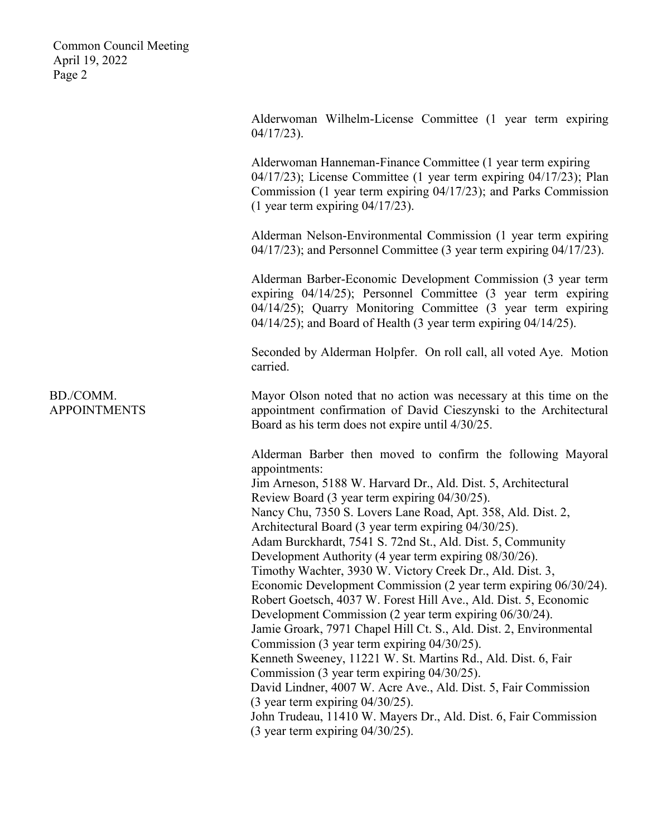> Alderwoman Wilhelm-License Committee (1 year term expiring 04/17/23).

> Alderwoman Hanneman-Finance Committee (1 year term expiring 04/17/23); License Committee (1 year term expiring 04/17/23); Plan Commission (1 year term expiring 04/17/23); and Parks Commission (1 year term expiring 04/17/23).

> Alderman Nelson-Environmental Commission (1 year term expiring 04/17/23); and Personnel Committee (3 year term expiring 04/17/23).

> Alderman Barber-Economic Development Commission (3 year term expiring 04/14/25); Personnel Committee (3 year term expiring 04/14/25); Quarry Monitoring Committee (3 year term expiring 04/14/25); and Board of Health (3 year term expiring 04/14/25).

> Seconded by Alderman Holpfer. On roll call, all voted Aye. Motion carried.

> Mayor Olson noted that no action was necessary at this time on the appointment confirmation of David Cieszynski to the Architectural Board as his term does not expire until 4/30/25.

> Alderman Barber then moved to confirm the following Mayoral appointments: Jim Arneson, 5188 W. Harvard Dr., Ald. Dist. 5, Architectural

Review Board (3 year term expiring 04/30/25).

Nancy Chu, 7350 S. Lovers Lane Road, Apt. 358, Ald. Dist. 2,

Architectural Board (3 year term expiring 04/30/25).

Adam Burckhardt, 7541 S. 72nd St., Ald. Dist. 5, Community

Development Authority (4 year term expiring 08/30/26).

Timothy Wachter, 3930 W. Victory Creek Dr., Ald. Dist. 3, Economic Development Commission (2 year term expiring 06/30/24).

Robert Goetsch, 4037 W. Forest Hill Ave., Ald. Dist. 5, Economic

Development Commission (2 year term expiring 06/30/24).

Jamie Groark, 7971 Chapel Hill Ct. S., Ald. Dist. 2, Environmental Commission (3 year term expiring 04/30/25).

Kenneth Sweeney, 11221 W. St. Martins Rd., Ald. Dist. 6, Fair Commission (3 year term expiring 04/30/25).

David Lindner, 4007 W. Acre Ave., Ald. Dist. 5, Fair Commission (3 year term expiring 04/30/25).

John Trudeau, 11410 W. Mayers Dr., Ald. Dist. 6, Fair Commission (3 year term expiring 04/30/25).

BD./COMM. APPOINTMENTS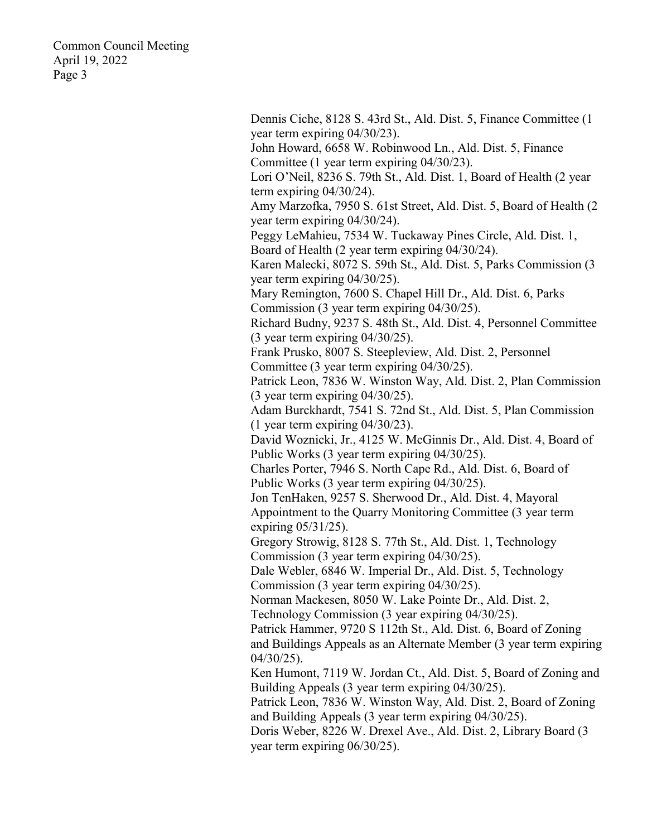> Dennis Ciche, 8128 S. 43rd St., Ald. Dist. 5, Finance Committee (1 year term expiring 04/30/23). John Howard, 6658 W. Robinwood Ln., Ald. Dist. 5, Finance Committee (1 year term expiring 04/30/23). Lori O'Neil, 8236 S. 79th St., Ald. Dist. 1, Board of Health (2 year term expiring 04/30/24). Amy Marzofka, 7950 S. 61st Street, Ald. Dist. 5, Board of Health (2 year term expiring 04/30/24). Peggy LeMahieu, 7534 W. Tuckaway Pines Circle, Ald. Dist. 1, Board of Health (2 year term expiring 04/30/24). Karen Malecki, 8072 S. 59th St., Ald. Dist. 5, Parks Commission (3 year term expiring 04/30/25). Mary Remington, 7600 S. Chapel Hill Dr., Ald. Dist. 6, Parks Commission (3 year term expiring 04/30/25). Richard Budny, 9237 S. 48th St., Ald. Dist. 4, Personnel Committee (3 year term expiring 04/30/25). Frank Prusko, 8007 S. Steepleview, Ald. Dist. 2, Personnel Committee (3 year term expiring 04/30/25). Patrick Leon, 7836 W. Winston Way, Ald. Dist. 2, Plan Commission (3 year term expiring 04/30/25). Adam Burckhardt, 7541 S. 72nd St., Ald. Dist. 5, Plan Commission (1 year term expiring 04/30/23). David Woznicki, Jr., 4125 W. McGinnis Dr., Ald. Dist. 4, Board of Public Works (3 year term expiring 04/30/25). Charles Porter, 7946 S. North Cape Rd., Ald. Dist. 6, Board of Public Works (3 year term expiring 04/30/25). Jon TenHaken, 9257 S. Sherwood Dr., Ald. Dist. 4, Mayoral Appointment to the Quarry Monitoring Committee (3 year term expiring 05/31/25). Gregory Strowig, 8128 S. 77th St., Ald. Dist. 1, Technology Commission (3 year term expiring 04/30/25). Dale Webler, 6846 W. Imperial Dr., Ald. Dist. 5, Technology Commission (3 year term expiring 04/30/25). Norman Mackesen, 8050 W. Lake Pointe Dr., Ald. Dist. 2, Technology Commission (3 year expiring 04/30/25). Patrick Hammer, 9720 S 112th St., Ald. Dist. 6, Board of Zoning and Buildings Appeals as an Alternate Member (3 year term expiring  $04/30/25$ ). Ken Humont, 7119 W. Jordan Ct., Ald. Dist. 5, Board of Zoning and Building Appeals (3 year term expiring 04/30/25). Patrick Leon, 7836 W. Winston Way, Ald. Dist. 2, Board of Zoning and Building Appeals (3 year term expiring 04/30/25). Doris Weber, 8226 W. Drexel Ave., Ald. Dist. 2, Library Board (3 year term expiring 06/30/25).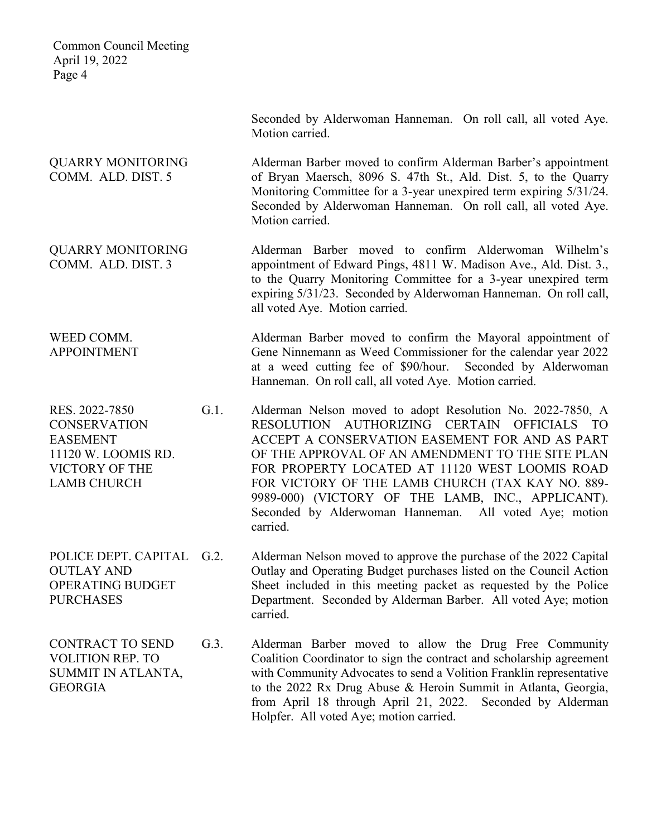Seconded by Alderwoman Hanneman. On roll call, all voted Aye. Motion carried. QUARRY MONITORING COMM. ALD. DIST. 5 Alderman Barber moved to confirm Alderman Barber's appointment of Bryan Maersch, 8096 S. 47th St., Ald. Dist. 5, to the Quarry Monitoring Committee for a 3-year unexpired term expiring 5/31/24. Seconded by Alderwoman Hanneman. On roll call, all voted Aye. Motion carried. QUARRY MONITORING COMM. ALD. DIST. 3 Alderman Barber moved to confirm Alderwoman Wilhelm's appointment of Edward Pings, 4811 W. Madison Ave., Ald. Dist. 3., to the Quarry Monitoring Committee for a 3-year unexpired term expiring 5/31/23. Seconded by Alderwoman Hanneman. On roll call, all voted Aye. Motion carried. WEED COMM. APPOINTMENT Alderman Barber moved to confirm the Mayoral appointment of Gene Ninnemann as Weed Commissioner for the calendar year 2022 at a weed cutting fee of \$90/hour. Seconded by Alderwoman Hanneman. On roll call, all voted Aye. Motion carried. RES. 2022-7850 **CONSERVATION** EASEMENT 11120 W. LOOMIS RD. VICTORY OF THE LAMB CHURCH G.1. Alderman Nelson moved to adopt Resolution No. 2022-7850, A RESOLUTION AUTHORIZING CERTAIN OFFICIALS TO ACCEPT A CONSERVATION EASEMENT FOR AND AS PART OF THE APPROVAL OF AN AMENDMENT TO THE SITE PLAN FOR PROPERTY LOCATED AT 11120 WEST LOOMIS ROAD FOR VICTORY OF THE LAMB CHURCH (TAX KAY NO. 889- 9989-000) (VICTORY OF THE LAMB, INC., APPLICANT). Seconded by Alderwoman Hanneman. All voted Aye; motion carried. POLICE DEPT. CAPITAL G.2. OUTLAY AND OPERATING BUDGET **PURCHASES** Alderman Nelson moved to approve the purchase of the 2022 Capital Outlay and Operating Budget purchases listed on the Council Action Sheet included in this meeting packet as requested by the Police

CONTRACT TO SEND VOLITION REP. TO SUMMIT IN ATLANTA, GEORGIA

- - Department. Seconded by Alderman Barber. All voted Aye; motion carried.
- G.3. Alderman Barber moved to allow the Drug Free Community Coalition Coordinator to sign the contract and scholarship agreement with Community Advocates to send a Volition Franklin representative to the 2022 Rx Drug Abuse & Heroin Summit in Atlanta, Georgia, from April 18 through April 21, 2022. Seconded by Alderman Holpfer. All voted Aye; motion carried.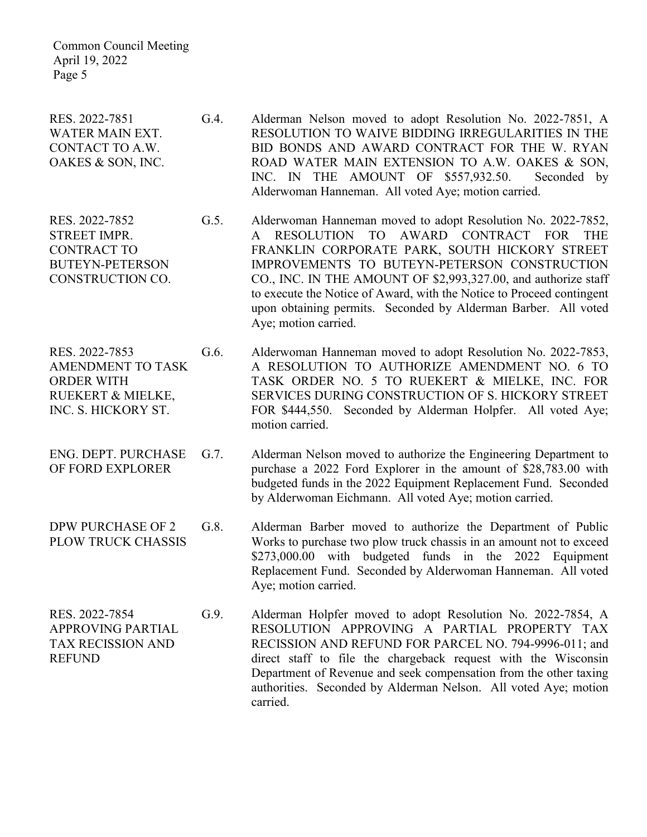RES. 2022-7851 WATER MAIN EXT. CONTACT TO A.W. OAKES & SON, INC.

RES. 2022-7852 STREET IMPR. CONTRACT TO BUTEYN-PETERSON CONSTRUCTION CO.

RES. 2022-7853 AMENDMENT TO TASK ORDER WITH RUEKERT & MIELKE, INC. S. HICKORY ST.

ENG. DEPT. PURCHASE OF FORD EXPLORER

DPW PURCHASE OF 2 PLOW TRUCK CHASSIS

RES. 2022-7854 APPROVING PARTIAL TAX RECISSION AND REFUND

- G.4. Alderman Nelson moved to adopt Resolution No. 2022-7851, A RESOLUTION TO WAIVE BIDDING IRREGULARITIES IN THE BID BONDS AND AWARD CONTRACT FOR THE W. RYAN ROAD WATER MAIN EXTENSION TO A.W. OAKES & SON, INC. IN THE AMOUNT OF \$557,932.50. Seconded by Alderwoman Hanneman. All voted Aye; motion carried.
- G.5. Alderwoman Hanneman moved to adopt Resolution No. 2022-7852, A RESOLUTION TO AWARD CONTRACT FOR THE FRANKLIN CORPORATE PARK, SOUTH HICKORY STREET IMPROVEMENTS TO BUTEYN-PETERSON CONSTRUCTION CO., INC. IN THE AMOUNT OF \$2,993,327.00, and authorize staff to execute the Notice of Award, with the Notice to Proceed contingent upon obtaining permits. Seconded by Alderman Barber. All voted Aye; motion carried.

G.6. Alderwoman Hanneman moved to adopt Resolution No. 2022-7853, A RESOLUTION TO AUTHORIZE AMENDMENT NO. 6 TO TASK ORDER NO. 5 TO RUEKERT & MIELKE, INC. FOR SERVICES DURING CONSTRUCTION OF S. HICKORY STREET FOR \$444,550. Seconded by Alderman Holpfer. All voted Aye; motion carried.

- G.7. Alderman Nelson moved to authorize the Engineering Department to purchase a 2022 Ford Explorer in the amount of \$28,783.00 with budgeted funds in the 2022 Equipment Replacement Fund. Seconded by Alderwoman Eichmann. All voted Aye; motion carried.
- G.8. Alderman Barber moved to authorize the Department of Public Works to purchase two plow truck chassis in an amount not to exceed \$273,000.00 with budgeted funds in the 2022 Equipment Replacement Fund. Seconded by Alderwoman Hanneman. All voted Aye; motion carried.
- G.9. Alderman Holpfer moved to adopt Resolution No. 2022-7854, A RESOLUTION APPROVING A PARTIAL PROPERTY TAX RECISSION AND REFUND FOR PARCEL NO. 794-9996-011; and direct staff to file the chargeback request with the Wisconsin Department of Revenue and seek compensation from the other taxing authorities. Seconded by Alderman Nelson. All voted Aye; motion carried.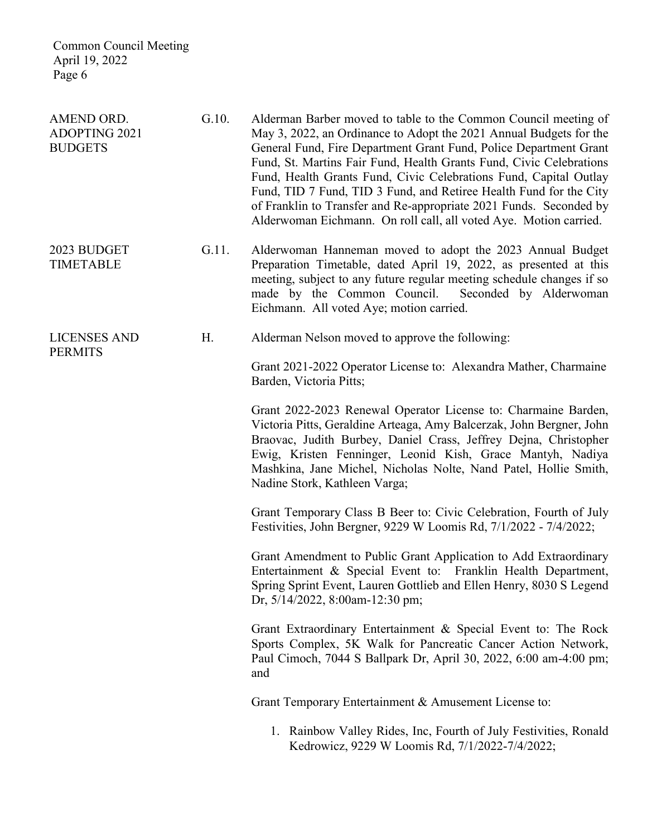| AMEND ORD.<br><b>ADOPTING 2021</b><br><b>BUDGETS</b> | G.10. | Alderman Barber moved to table to the Common Council meeting of<br>May 3, 2022, an Ordinance to Adopt the 2021 Annual Budgets for the<br>General Fund, Fire Department Grant Fund, Police Department Grant<br>Fund, St. Martins Fair Fund, Health Grants Fund, Civic Celebrations<br>Fund, Health Grants Fund, Civic Celebrations Fund, Capital Outlay<br>Fund, TID 7 Fund, TID 3 Fund, and Retiree Health Fund for the City<br>of Franklin to Transfer and Re-appropriate 2021 Funds. Seconded by<br>Alderwoman Eichmann. On roll call, all voted Aye. Motion carried. |
|------------------------------------------------------|-------|-------------------------------------------------------------------------------------------------------------------------------------------------------------------------------------------------------------------------------------------------------------------------------------------------------------------------------------------------------------------------------------------------------------------------------------------------------------------------------------------------------------------------------------------------------------------------|
| 2023 BUDGET<br><b>TIMETABLE</b>                      | G.11. | Alderwoman Hanneman moved to adopt the 2023 Annual Budget<br>Preparation Timetable, dated April 19, 2022, as presented at this<br>meeting, subject to any future regular meeting schedule changes if so<br>made by the Common Council. Seconded by Alderwoman<br>Eichmann. All voted Aye; motion carried.                                                                                                                                                                                                                                                               |
| <b>LICENSES AND</b><br><b>PERMITS</b>                | Н.    | Alderman Nelson moved to approve the following:                                                                                                                                                                                                                                                                                                                                                                                                                                                                                                                         |
|                                                      |       | Grant 2021-2022 Operator License to: Alexandra Mather, Charmaine<br>Barden, Victoria Pitts;                                                                                                                                                                                                                                                                                                                                                                                                                                                                             |
|                                                      |       | Grant 2022-2023 Renewal Operator License to: Charmaine Barden,<br>Victoria Pitts, Geraldine Arteaga, Amy Balcerzak, John Bergner, John<br>Braovac, Judith Burbey, Daniel Crass, Jeffrey Dejna, Christopher<br>Ewig, Kristen Fenninger, Leonid Kish, Grace Mantyh, Nadiya<br>Mashkina, Jane Michel, Nicholas Nolte, Nand Patel, Hollie Smith,<br>Nadine Stork, Kathleen Varga;                                                                                                                                                                                           |
|                                                      |       | Grant Temporary Class B Beer to: Civic Celebration, Fourth of July<br>Festivities, John Bergner, 9229 W Loomis Rd, 7/1/2022 - 7/4/2022;                                                                                                                                                                                                                                                                                                                                                                                                                                 |
|                                                      |       | Grant Amendment to Public Grant Application to Add Extraordinary<br>Entertainment & Special Event to: Franklin Health Department,<br>Spring Sprint Event, Lauren Gottlieb and Ellen Henry, 8030 S Legend<br>Dr, 5/14/2022, 8:00am-12:30 pm;                                                                                                                                                                                                                                                                                                                             |
|                                                      |       | Grant Extraordinary Entertainment & Special Event to: The Rock<br>Sports Complex, 5K Walk for Pancreatic Cancer Action Network,<br>Paul Cimoch, 7044 S Ballpark Dr, April 30, 2022, 6:00 am-4:00 pm;<br>and                                                                                                                                                                                                                                                                                                                                                             |
|                                                      |       | Grant Temporary Entertainment & Amusement License to:                                                                                                                                                                                                                                                                                                                                                                                                                                                                                                                   |
|                                                      |       | 1. Rainbow Valley Rides, Inc, Fourth of July Festivities, Ronald                                                                                                                                                                                                                                                                                                                                                                                                                                                                                                        |

Kedrowicz, 9229 W Loomis Rd, 7/1/2022-7/4/2022;